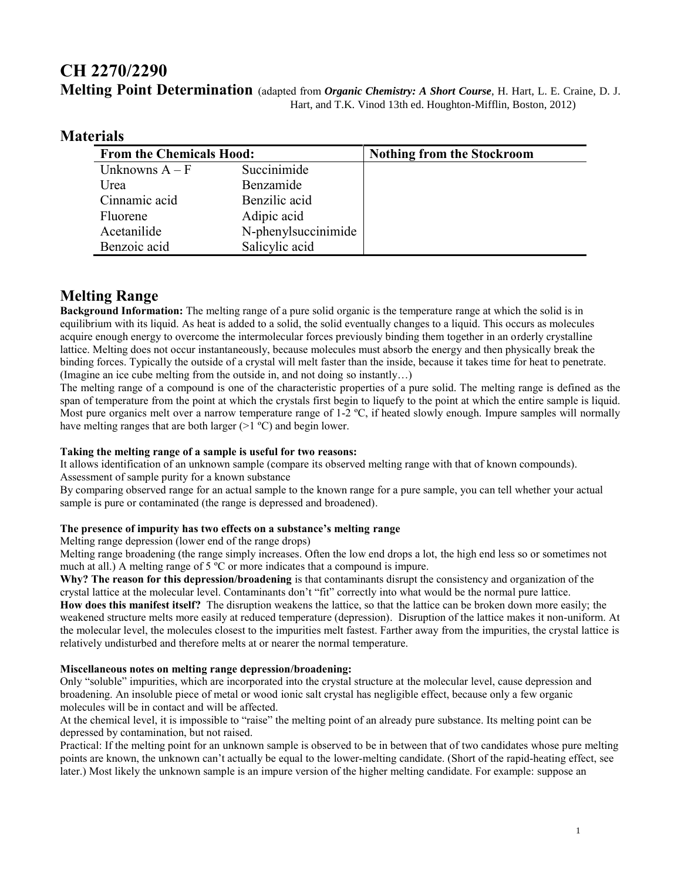# **CH 2270/2290 Melting Point Determination** (adapted from *Organic Chemistry: A Short Course*, H. Hart, L. E. Craine, D. J. Hart, and T.K. Vinod 13th ed. Houghton-Mifflin, Boston, 2012)

| laterials |                                 |                     |                                   |
|-----------|---------------------------------|---------------------|-----------------------------------|
|           | <b>From the Chemicals Hood:</b> |                     | <b>Nothing from the Stockroom</b> |
|           | Unknowns $A - F$                | Succinimide         |                                   |
|           | Urea                            | Benzamide           |                                   |
|           | Cinnamic acid                   | Benzilic acid       |                                   |
|           | Fluorene                        | Adipic acid         |                                   |
|           | Acetanilide                     | N-phenylsuccinimide |                                   |
|           | Benzoic acid                    | Salicylic acid      |                                   |

# **M**

# **Melting Range**

**Background Information:** The melting range of a pure solid organic is the temperature range at which the solid is in equilibrium with its liquid. As heat is added to a solid, the solid eventually changes to a liquid. This occurs as molecules acquire enough energy to overcome the intermolecular forces previously binding them together in an orderly crystalline lattice. Melting does not occur instantaneously, because molecules must absorb the energy and then physically break the binding forces. Typically the outside of a crystal will melt faster than the inside, because it takes time for heat to penetrate. (Imagine an ice cube melting from the outside in, and not doing so instantly…)

The melting range of a compound is one of the characteristic properties of a pure solid. The melting range is defined as the span of temperature from the point at which the crystals first begin to liquefy to the point at which the entire sample is liquid. Most pure organics melt over a narrow temperature range of 1-2 °C, if heated slowly enough. Impure samples will normally have melting ranges that are both larger  $(>1 \degree C)$  and begin lower.

### **Taking the melting range of a sample is useful for two reasons:**

It allows identification of an unknown sample (compare its observed melting range with that of known compounds). Assessment of sample purity for a known substance

By comparing observed range for an actual sample to the known range for a pure sample, you can tell whether your actual sample is pure or contaminated (the range is depressed and broadened).

### **The presence of impurity has two effects on a substance's melting range**

Melting range depression (lower end of the range drops)

Melting range broadening (the range simply increases. Often the low end drops a lot, the high end less so or sometimes not much at all.) A melting range of 5 ºC or more indicates that a compound is impure.

**Why? The reason for this depression/broadening** is that contaminants disrupt the consistency and organization of the crystal lattice at the molecular level. Contaminants don't "fit" correctly into what would be the normal pure lattice.

**How does this manifest itself?** The disruption weakens the lattice, so that the lattice can be broken down more easily; the weakened structure melts more easily at reduced temperature (depression). Disruption of the lattice makes it non-uniform. At the molecular level, the molecules closest to the impurities melt fastest. Farther away from the impurities, the crystal lattice is relatively undisturbed and therefore melts at or nearer the normal temperature.

### **Miscellaneous notes on melting range depression/broadening:**

Only "soluble" impurities, which are incorporated into the crystal structure at the molecular level, cause depression and broadening. An insoluble piece of metal or wood ionic salt crystal has negligible effect, because only a few organic molecules will be in contact and will be affected.

At the chemical level, it is impossible to "raise" the melting point of an already pure substance. Its melting point can be depressed by contamination, but not raised.

Practical: If the melting point for an unknown sample is observed to be in between that of two candidates whose pure melting points are known, the unknown can't actually be equal to the lower-melting candidate. (Short of the rapid-heating effect, see later.) Most likely the unknown sample is an impure version of the higher melting candidate. For example: suppose an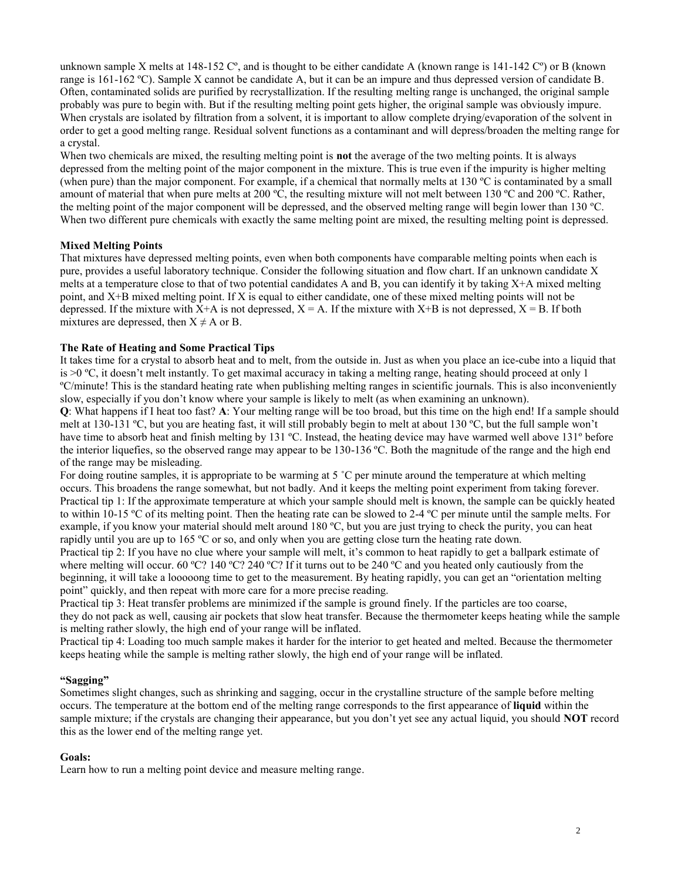unknown sample X melts at 148-152  $C^{\circ}$ , and is thought to be either candidate A (known range is 141-142  $C^{\circ}$ ) or B (known range is 161-162 ºC). Sample X cannot be candidate A, but it can be an impure and thus depressed version of candidate B. Often, contaminated solids are purified by recrystallization. If the resulting melting range is unchanged, the original sample probably was pure to begin with. But if the resulting melting point gets higher, the original sample was obviously impure. When crystals are isolated by filtration from a solvent, it is important to allow complete drying/evaporation of the solvent in order to get a good melting range. Residual solvent functions as a contaminant and will depress/broaden the melting range for a crystal.

When two chemicals are mixed, the resulting melting point is **not** the average of the two melting points. It is always depressed from the melting point of the major component in the mixture. This is true even if the impurity is higher melting (when pure) than the major component. For example, if a chemical that normally melts at  $130 \degree C$  is contaminated by a small amount of material that when pure melts at 200 ºC, the resulting mixture will not melt between 130 ºC and 200 ºC. Rather, the melting point of the major component will be depressed, and the observed melting range will begin lower than 130 ºC. When two different pure chemicals with exactly the same melting point are mixed, the resulting melting point is depressed.

#### **Mixed Melting Points**

That mixtures have depressed melting points, even when both components have comparable melting points when each is pure, provides a useful laboratory technique. Consider the following situation and flow chart. If an unknown candidate X melts at a temperature close to that of two potential candidates A and B, you can identify it by taking  $X+A$  mixed melting point, and X+B mixed melting point. If X is equal to either candidate, one of these mixed melting points will not be depressed. If the mixture with  $X+A$  is not depressed,  $X = A$ . If the mixture with  $X+B$  is not depressed,  $X = B$ . If both mixtures are depressed, then  $X \neq A$  or B.

#### **The Rate of Heating and Some Practical Tips**

It takes time for a crystal to absorb heat and to melt, from the outside in. Just as when you place an ice-cube into a liquid that is >0 ºC, it doesn't melt instantly. To get maximal accuracy in taking a melting range, heating should proceed at only 1 ºC/minute! This is the standard heating rate when publishing melting ranges in scientific journals. This is also inconveniently slow, especially if you don't know where your sample is likely to melt (as when examining an unknown).

**Q**: What happens if I heat too fast? **A**: Your melting range will be too broad, but this time on the high end! If a sample should melt at 130-131 ºC, but you are heating fast, it will still probably begin to melt at about 130 ºC, but the full sample won't have time to absorb heat and finish melting by 131 ºC. Instead, the heating device may have warmed well above 131º before the interior liquefies, so the observed range may appear to be 130-136 ºC. Both the magnitude of the range and the high end of the range may be misleading.

For doing routine samples, it is appropriate to be warming at 5 °C per minute around the temperature at which melting occurs. This broadens the range somewhat, but not badly. And it keeps the melting point experiment from taking forever. Practical tip 1: If the approximate temperature at which your sample should melt is known, the sample can be quickly heated to within 10-15 ºC of its melting point. Then the heating rate can be slowed to 2-4 ºC per minute until the sample melts. For example, if you know your material should melt around 180 ºC, but you are just trying to check the purity, you can heat rapidly until you are up to 165 ºC or so, and only when you are getting close turn the heating rate down.

Practical tip 2: If you have no clue where your sample will melt, it's common to heat rapidly to get a ballpark estimate of where melting will occur. 60 °C? 140 °C? 240 °C? If it turns out to be 240 °C and you heated only cautiously from the beginning, it will take a looooong time to get to the measurement. By heating rapidly, you can get an "orientation melting point" quickly, and then repeat with more care for a more precise reading.

Practical tip 3: Heat transfer problems are minimized if the sample is ground finely. If the particles are too coarse, they do not pack as well, causing air pockets that slow heat transfer. Because the thermometer keeps heating while the sample is melting rather slowly, the high end of your range will be inflated.

Practical tip 4: Loading too much sample makes it harder for the interior to get heated and melted. Because the thermometer keeps heating while the sample is melting rather slowly, the high end of your range will be inflated.

#### **"Sagging"**

Sometimes slight changes, such as shrinking and sagging, occur in the crystalline structure of the sample before melting occurs. The temperature at the bottom end of the melting range corresponds to the first appearance of **liquid** within the sample mixture; if the crystals are changing their appearance, but you don't yet see any actual liquid, you should **NOT** record this as the lower end of the melting range yet.

#### **Goals:**

Learn how to run a melting point device and measure melting range.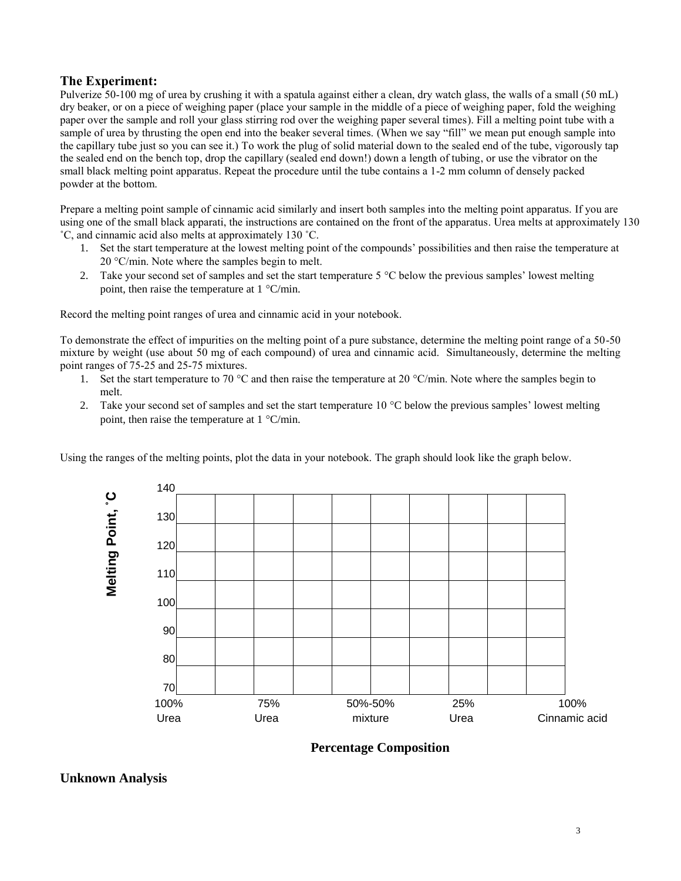# **The Experiment:**

Pulverize 50-100 mg of urea by crushing it with a spatula against either a clean, dry watch glass, the walls of a small (50 mL) dry beaker, or on a piece of weighing paper (place your sample in the middle of a piece of weighing paper, fold the weighing paper over the sample and roll your glass stirring rod over the weighing paper several times). Fill a melting point tube with a sample of urea by thrusting the open end into the beaker several times. (When we say "fill" we mean put enough sample into the capillary tube just so you can see it.) To work the plug of solid material down to the sealed end of the tube, vigorously tap the sealed end on the bench top, drop the capillary (sealed end down!) down a length of tubing, or use the vibrator on the small black melting point apparatus. Repeat the procedure until the tube contains a 1-2 mm column of densely packed powder at the bottom.

Prepare a melting point sample of cinnamic acid similarly and insert both samples into the melting point apparatus. If you are using one of the small black apparati, the instructions are contained on the front of the apparatus. Urea melts at approximately 130 ˚C, and cinnamic acid also melts at approximately 130 ˚C.

- 1. Set the start temperature at the lowest melting point of the compounds' possibilities and then raise the temperature at  $20 °C/min$ . Note where the samples begin to melt.
- 2. Take your second set of samples and set the start temperature  $5^{\circ}$ C below the previous samples' lowest melting point, then raise the temperature at  $1 \degree C/min$ .

Record the melting point ranges of urea and cinnamic acid in your notebook.

To demonstrate the effect of impurities on the melting point of a pure substance, determine the melting point range of a 50-50 mixture by weight (use about 50 mg of each compound) of urea and cinnamic acid. Simultaneously, determine the melting point ranges of 75-25 and 25-75 mixtures.

- 1. Set the start temperature to 70 °C and then raise the temperature at 20 °C/min. Note where the samples begin to melt.
- 2. Take your second set of samples and set the start temperature  $10^{\circ}$ C below the previous samples' lowest melting point, then raise the temperature at  $1 \degree C/min$ .

Using the ranges of the melting points, plot the data in your notebook. The graph should look like the graph below.



**Percentage Composition**

# **Unknown Analysis**